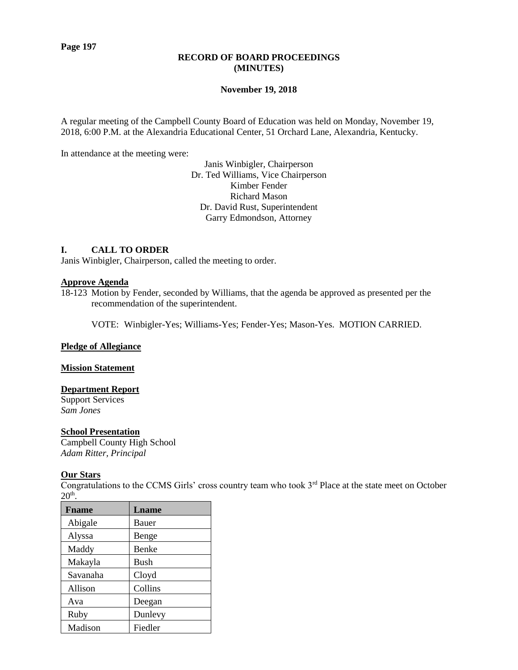#### **RECORD OF BOARD PROCEEDINGS (MINUTES)**

#### **November 19, 2018**

A regular meeting of the Campbell County Board of Education was held on Monday, November 19, 2018, 6:00 P.M. at the Alexandria Educational Center, 51 Orchard Lane, Alexandria, Kentucky.

In attendance at the meeting were:

Janis Winbigler, Chairperson Dr. Ted Williams, Vice Chairperson Kimber Fender Richard Mason Dr. David Rust, Superintendent Garry Edmondson, Attorney

#### **I. CALL TO ORDER**

Janis Winbigler, Chairperson, called the meeting to order.

#### **Approve Agenda**

18-123 Motion by Fender, seconded by Williams, that the agenda be approved as presented per the recommendation of the superintendent.

VOTE: Winbigler-Yes; Williams-Yes; Fender-Yes; Mason-Yes. MOTION CARRIED.

#### **Pledge of Allegiance**

#### **Mission Statement**

#### **Department Report**

Support Services *Sam Jones*

# **School Presentation**

Campbell County High School *Adam Ritter, Principal*

# **Our Stars**

Congratulations to the CCMS Girls' cross country team who took 3<sup>rd</sup> Place at the state meet on October  $20<sup>th</sup>$ .

| <b>F</b> name | Lname       |
|---------------|-------------|
| Abigale       | Bauer       |
| Alyssa        | Benge       |
| Maddy         | Benke       |
| Makayla       | <b>Bush</b> |
| Savanaha      | Cloyd       |
| Allison       | Collins     |
| Ava           | Deegan      |
| Ruby          | Dunlevy     |
| Madison       | Fiedler     |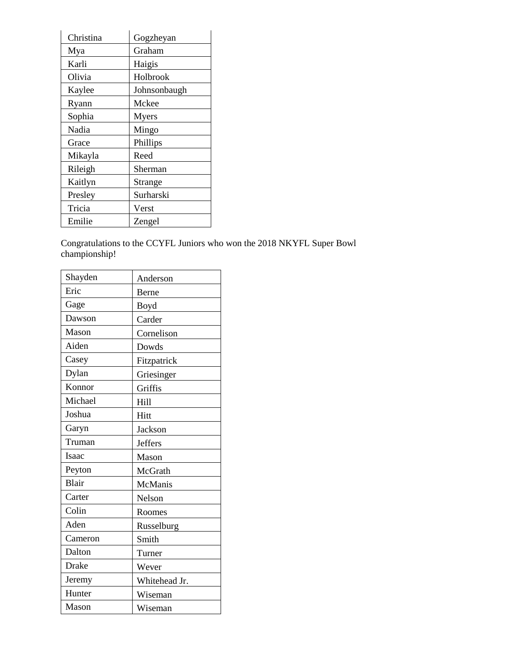| Christina | Gogzheyan    |
|-----------|--------------|
| Mya       | Graham       |
| Karli     | Haigis       |
| Olivia    | Holbrook     |
| Kaylee    | Johnsonbaugh |
| Ryann     | Mckee        |
| Sophia    | <b>Myers</b> |
| Nadia     | Mingo        |
| Grace     | Phillips     |
| Mikayla   | Reed         |
| Rileigh   | Sherman      |
| Kaitlyn   | Strange      |
| Presley   | Surharski    |
| Tricia    | Verst        |
| Emilie    | Zengel       |

Congratulations to the CCYFL Juniors who won the 2018 NKYFL Super Bowl championship!

| Shayden | Anderson       |
|---------|----------------|
| Eric    | Berne          |
| Gage    | Boyd           |
| Dawson  | Carder         |
| Mason   | Cornelison     |
| Aiden   | Dowds          |
| Casey   | Fitzpatrick    |
| Dylan   | Griesinger     |
| Konnor  | Griffis        |
| Michael | Hill           |
| Joshua  | Hitt           |
| Garyn   | Jackson        |
| Truman  | <b>Jeffers</b> |
| Isaac   | Mason          |
| Peyton  | McGrath        |
| Blair   | McManis        |
| Carter  | Nelson         |
| Colin   | Roomes         |
| Aden    | Russelburg     |
| Cameron | Smith          |
| Dalton  | Turner         |
| Drake   | Wever          |
| Jeremy  | Whitehead Jr.  |
| Hunter  | Wiseman        |
| Mason   | Wiseman        |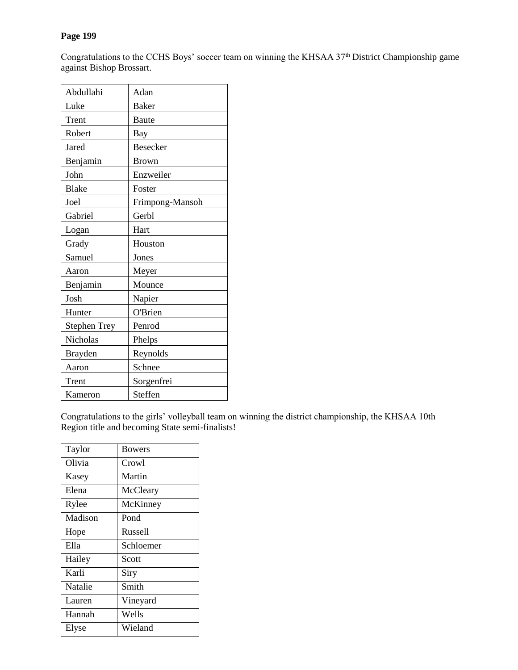# **Page 199**

Congratulations to the CCHS Boys' soccer team on winning the KHSAA 37<sup>th</sup> District Championship game against Bishop Brossart.

| Abdullahi           | Adan            |
|---------------------|-----------------|
| Luke                | <b>Baker</b>    |
| Trent               | <b>Baute</b>    |
| Robert              | Bay             |
| Jared               | <b>Besecker</b> |
| Benjamin            | <b>Brown</b>    |
| John                | Enzweiler       |
| <b>Blake</b>        | Foster          |
| Joel                | Frimpong-Mansoh |
| Gabriel             | Gerbl           |
| Logan               | Hart            |
| Grady               | Houston         |
| Samuel              | Jones           |
| Aaron               | Meyer           |
| Benjamin            | Mounce          |
| Josh                | Napier          |
| Hunter              | O'Brien         |
| <b>Stephen Trey</b> | Penrod          |
| Nicholas            | Phelps          |
| <b>Brayden</b>      | Reynolds        |
| Aaron               | Schnee          |
| Trent               | Sorgenfrei      |
| Kameron             | Steffen         |

Congratulations to the girls' volleyball team on winning the district championship, the KHSAA 10th Region title and becoming State semi-finalists!

| Taylor  | <b>Bowers</b>  |
|---------|----------------|
| Olivia  | Crowl          |
| Kasey   | Martin         |
| Elena   | McCleary       |
| Rylee   | McKinney       |
| Madison | Pond           |
| Hope    | <b>Russell</b> |
| Ella    | Schloemer      |
| Hailey  | Scott          |
| Karli   | Siry           |
| Natalie | Smith          |
| Lauren  | Vineyard       |
| Hannah  | Wells          |
| Elyse   | Wieland        |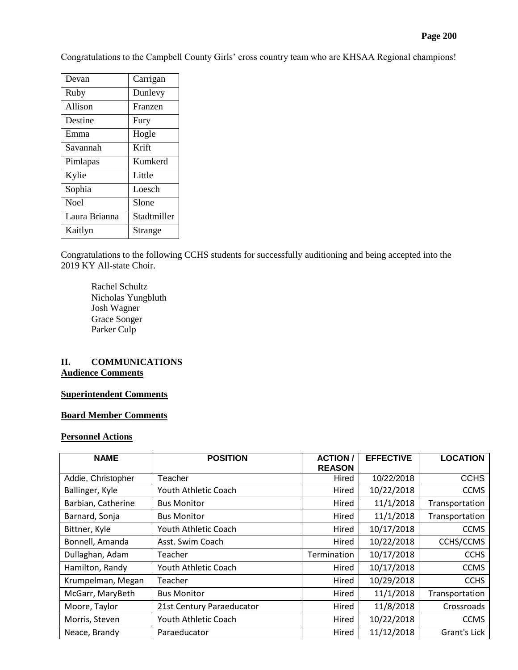Congratulations to the Campbell County Girls' cross country team who are KHSAA Regional champions!

| Devan         | Carrigan    |
|---------------|-------------|
| Ruby          | Dunlevy     |
| Allison       | Franzen     |
| Destine       | Fury        |
| Emma          | Hogle       |
| Savannah      | Krift       |
| Pimlapas      | Kumkerd     |
| Kylie         | Little      |
| Sophia        | Loesch      |
| <b>Noel</b>   | Slone       |
| Laura Brianna | Stadtmiller |
| Kaitlyn       | Strange     |

Congratulations to the following CCHS students for successfully auditioning and being accepted into the 2019 KY All-state Choir.

Rachel Schultz Nicholas Yungbluth Josh Wagner Grace Songer Parker Culp

# **II. COMMUNICATIONS Audience Comments**

#### **Superintendent Comments**

#### **Board Member Comments**

#### **Personnel Actions**

| <b>NAME</b>        | <b>POSITION</b>           | <b>ACTION/</b><br><b>REASON</b> | <b>EFFECTIVE</b> | <b>LOCATION</b> |
|--------------------|---------------------------|---------------------------------|------------------|-----------------|
| Addie, Christopher | Teacher                   | Hired                           | 10/22/2018       | <b>CCHS</b>     |
| Ballinger, Kyle    | Youth Athletic Coach      | Hired                           | 10/22/2018       | <b>CCMS</b>     |
| Barbian, Catherine | <b>Bus Monitor</b>        | Hired                           | 11/1/2018        | Transportation  |
| Barnard, Sonja     | <b>Bus Monitor</b>        | Hired                           | 11/1/2018        | Transportation  |
| Bittner, Kyle      | Youth Athletic Coach      | Hired                           | 10/17/2018       | <b>CCMS</b>     |
| Bonnell, Amanda    | Asst. Swim Coach          | Hired                           | 10/22/2018       | CCHS/CCMS       |
| Dullaghan, Adam    | Teacher                   | Termination                     | 10/17/2018       | <b>CCHS</b>     |
| Hamilton, Randy    | Youth Athletic Coach      | Hired                           | 10/17/2018       | <b>CCMS</b>     |
| Krumpelman, Megan  | Teacher                   | Hired                           | 10/29/2018       | <b>CCHS</b>     |
| McGarr, MaryBeth   | <b>Bus Monitor</b>        | Hired                           | 11/1/2018        | Transportation  |
| Moore, Taylor      | 21st Century Paraeducator | Hired                           | 11/8/2018        | Crossroads      |
| Morris, Steven     | Youth Athletic Coach      | Hired                           | 10/22/2018       | <b>CCMS</b>     |
| Neace, Brandy      | Paraeducator              | Hired                           | 11/12/2018       | Grant's Lick    |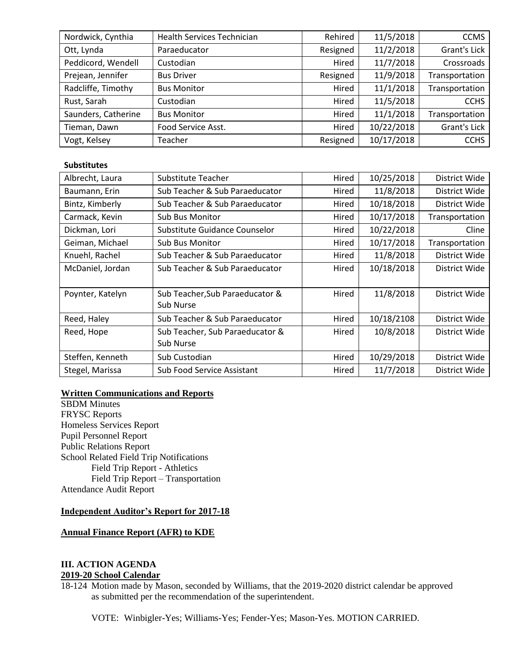| Nordwick, Cynthia   | <b>Health Services Technician</b> | Rehired  | 11/5/2018  | <b>CCMS</b>    |
|---------------------|-----------------------------------|----------|------------|----------------|
| Ott, Lynda          | Paraeducator                      | Resigned | 11/2/2018  | Grant's Lick   |
| Peddicord, Wendell  | Custodian                         | Hired    | 11/7/2018  | Crossroads     |
| Prejean, Jennifer   | <b>Bus Driver</b>                 | Resigned | 11/9/2018  | Transportation |
| Radcliffe, Timothy  | <b>Bus Monitor</b>                | Hired    | 11/1/2018  | Transportation |
| Rust, Sarah         | Custodian                         | Hired    | 11/5/2018  | <b>CCHS</b>    |
| Saunders, Catherine | <b>Bus Monitor</b>                | Hired    | 11/1/2018  | Transportation |
| Tieman, Dawn        | Food Service Asst.                | Hired    | 10/22/2018 | Grant's Lick   |
| Vogt, Kelsey        | Teacher                           | Resigned | 10/17/2018 | <b>CCHS</b>    |

# **Substitutes**

| Albrecht, Laura  | Substitute Teacher                | Hired | 10/25/2018 | District Wide  |
|------------------|-----------------------------------|-------|------------|----------------|
| Baumann, Erin    | Sub Teacher & Sub Paraeducator    | Hired | 11/8/2018  | District Wide  |
| Bintz, Kimberly  | Sub Teacher & Sub Paraeducator    | Hired | 10/18/2018 | District Wide  |
| Carmack, Kevin   | <b>Sub Bus Monitor</b>            | Hired | 10/17/2018 | Transportation |
| Dickman, Lori    | Substitute Guidance Counselor     | Hired | 10/22/2018 | Cline          |
| Geiman, Michael  | <b>Sub Bus Monitor</b>            | Hired | 10/17/2018 | Transportation |
| Knuehl, Rachel   | Sub Teacher & Sub Paraeducator    | Hired | 11/8/2018  | District Wide  |
| McDaniel, Jordan | Sub Teacher & Sub Paraeducator    | Hired | 10/18/2018 | District Wide  |
|                  |                                   |       |            |                |
| Poynter, Katelyn | Sub Teacher, Sub Paraeducator &   | Hired | 11/8/2018  | District Wide  |
|                  | Sub Nurse                         |       |            |                |
| Reed, Haley      | Sub Teacher & Sub Paraeducator    | Hired | 10/18/2108 | District Wide  |
| Reed, Hope       | Sub Teacher, Sub Paraeducator &   | Hired | 10/8/2018  | District Wide  |
|                  | Sub Nurse                         |       |            |                |
| Steffen, Kenneth | Sub Custodian                     | Hired | 10/29/2018 | District Wide  |
| Stegel, Marissa  | <b>Sub Food Service Assistant</b> | Hired | 11/7/2018  | District Wide  |

# **Written Communications and Reports**

SBDM Minutes FRYSC Reports Homeless Services Report Pupil Personnel Report Public Relations Report School Related Field Trip Notifications Field Trip Report - Athletics Field Trip Report – Transportation Attendance Audit Report

#### **Independent Auditor's Report for 2017-18**

#### **Annual Finance Report (AFR) to KDE**

# **III. ACTION AGENDA 2019-20 School Calendar**

18-124 Motion made by Mason, seconded by Williams, that the 2019-2020 district calendar be approved as submitted per the recommendation of the superintendent.

VOTE: Winbigler-Yes; Williams-Yes; Fender-Yes; Mason-Yes. MOTION CARRIED.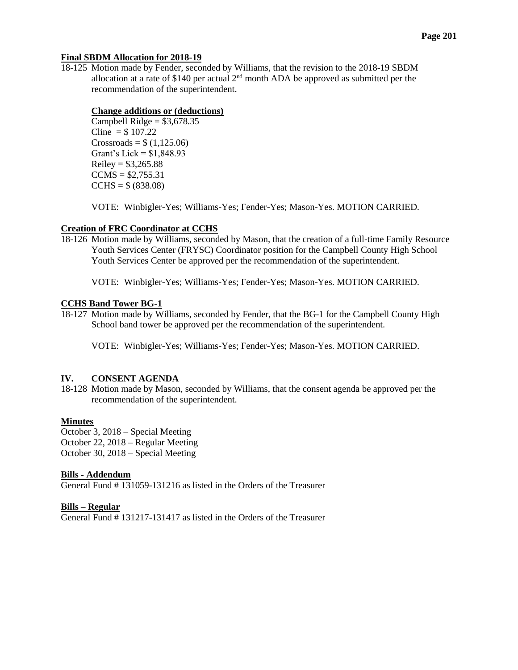# **Final SBDM Allocation for 2018-19**

18-125 Motion made by Fender, seconded by Williams, that the revision to the 2018-19 SBDM allocation at a rate of \$140 per actual  $2<sup>nd</sup>$  month ADA be approved as submitted per the recommendation of the superintendent.

# **Change additions or (deductions)**

Campbell Ridge =  $$3,678.35$ Cline =  $$107.22$  $Crossroads = $ (1,125.06)$ Grant's Lick = \$1,848.93  $Reiley = $3,265.88$  $CCMS = $2,755.31$  $CCHS = $ (838.08)$ 

VOTE: Winbigler-Yes; Williams-Yes; Fender-Yes; Mason-Yes. MOTION CARRIED.

# **Creation of FRC Coordinator at CCHS**

18-126 Motion made by Williams, seconded by Mason, that the creation of a full-time Family Resource Youth Services Center (FRYSC) Coordinator position for the Campbell County High School Youth Services Center be approved per the recommendation of the superintendent.

VOTE: Winbigler-Yes; Williams-Yes; Fender-Yes; Mason-Yes. MOTION CARRIED.

# **CCHS Band Tower BG-1**

18-127 Motion made by Williams, seconded by Fender, that the BG-1 for the Campbell County High School band tower be approved per the recommendation of the superintendent.

VOTE: Winbigler-Yes; Williams-Yes; Fender-Yes; Mason-Yes. MOTION CARRIED.

# **IV. CONSENT AGENDA**

18-128 Motion made by Mason, seconded by Williams, that the consent agenda be approved per the recommendation of the superintendent.

# **Minutes**

October 3, 2018 – Special Meeting October 22, 2018 – Regular Meeting October 30, 2018 – Special Meeting

# **Bills - Addendum**

General Fund # 131059-131216 as listed in the Orders of the Treasurer

# **Bills – Regular**

General Fund # 131217-131417 as listed in the Orders of the Treasurer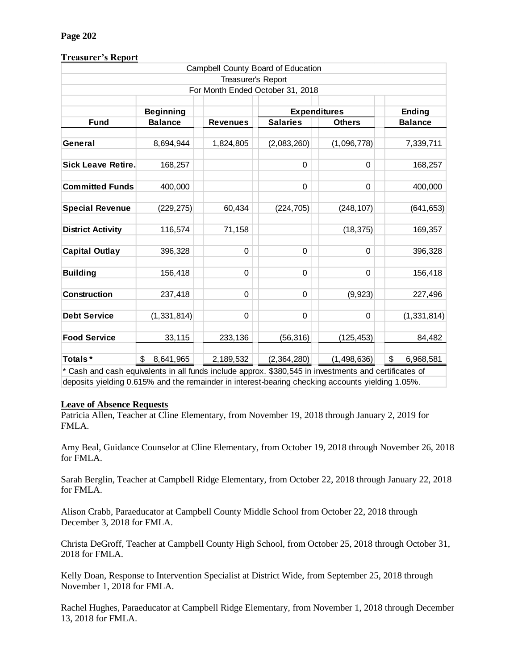# **Page 202**

# **Treasurer's Report**

|                           |                  |                    | Campbell County Board of Education   |                                                            |                 |  |  |
|---------------------------|------------------|--------------------|--------------------------------------|------------------------------------------------------------|-----------------|--|--|
|                           |                  | Treasurer's Report |                                      |                                                            |                 |  |  |
|                           |                  |                    | For Month Ended October 31, 2018     |                                                            |                 |  |  |
|                           |                  |                    |                                      |                                                            |                 |  |  |
|                           | <b>Beginning</b> |                    | <b>Expenditures</b><br><b>Ending</b> |                                                            |                 |  |  |
| <b>Fund</b>               | <b>Balance</b>   | <b>Revenues</b>    | <b>Salaries</b>                      | <b>Others</b>                                              | <b>Balance</b>  |  |  |
|                           |                  |                    |                                      |                                                            |                 |  |  |
| General                   | 8,694,944        | 1,824,805          | (2,083,260)                          | (1,096,778)                                                | 7,339,711       |  |  |
| <b>Sick Leave Retire.</b> | 168,257          |                    | 0                                    | $\mathbf 0$                                                | 168,257         |  |  |
| <b>Committed Funds</b>    | 400,000          |                    | 0                                    | $\mathbf 0$                                                | 400,000         |  |  |
| <b>Special Revenue</b>    | (229, 275)       | 60,434             | (224, 705)                           | (248, 107)                                                 | (641, 653)      |  |  |
| <b>District Activity</b>  | 116,574          | 71,158             |                                      | (18, 375)                                                  | 169,357         |  |  |
| <b>Capital Outlay</b>     | 396,328          | $\mathbf 0$        | $\Omega$                             | $\Omega$                                                   | 396,328         |  |  |
| <b>Building</b>           | 156,418          | 0                  | 0                                    | $\Omega$                                                   | 156,418         |  |  |
| <b>Construction</b>       | 237,418          | 0                  | 0                                    | (9,923)                                                    | 227,496         |  |  |
| <b>Debt Service</b>       | (1, 331, 814)    | 0                  | 0                                    | $\mathbf 0$                                                | (1, 331, 814)   |  |  |
| <b>Food Service</b>       | 33,115           | 233,136            | (56, 316)                            | (125, 453)                                                 | 84,482          |  |  |
| Totals*                   | \$<br>8,641,965  | 2,189,532          | (2,364,280)                          | (1,498,636)<br>$0.000E/E$ in invastments and continuous of | \$<br>6,968,581 |  |  |

Cash and cash equivalents in all funds include approx. \$380,545 in investments and certificates of deposits yielding 0.615% and the remainder in interest-bearing checking accounts yielding 1.05%.

# **Leave of Absence Requests**

Patricia Allen, Teacher at Cline Elementary, from November 19, 2018 through January 2, 2019 for FMLA.

Amy Beal, Guidance Counselor at Cline Elementary, from October 19, 2018 through November 26, 2018 for FMLA.

Sarah Berglin, Teacher at Campbell Ridge Elementary, from October 22, 2018 through January 22, 2018 for FMLA.

Alison Crabb, Paraeducator at Campbell County Middle School from October 22, 2018 through December 3, 2018 for FMLA.

Christa DeGroff, Teacher at Campbell County High School, from October 25, 2018 through October 31, 2018 for FMLA.

Kelly Doan, Response to Intervention Specialist at District Wide, from September 25, 2018 through November 1, 2018 for FMLA.

Rachel Hughes, Paraeducator at Campbell Ridge Elementary, from November 1, 2018 through December 13, 2018 for FMLA.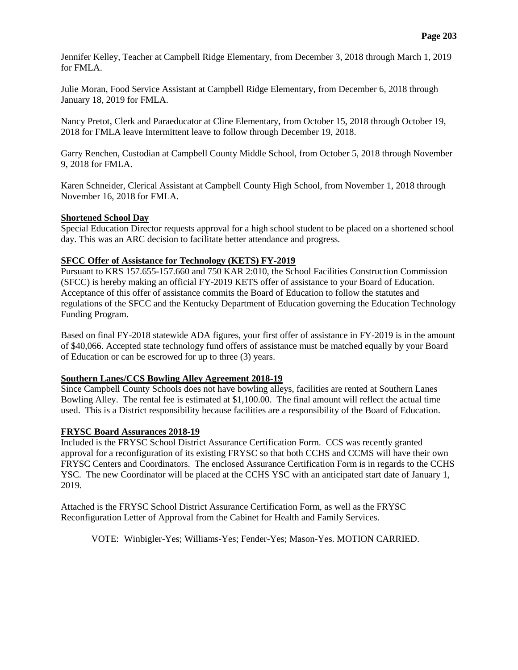Jennifer Kelley, Teacher at Campbell Ridge Elementary, from December 3, 2018 through March 1, 2019 for FMLA.

Julie Moran, Food Service Assistant at Campbell Ridge Elementary, from December 6, 2018 through January 18, 2019 for FMLA.

Nancy Pretot, Clerk and Paraeducator at Cline Elementary, from October 15, 2018 through October 19, 2018 for FMLA leave Intermittent leave to follow through December 19, 2018.

Garry Renchen, Custodian at Campbell County Middle School, from October 5, 2018 through November 9, 2018 for FMLA.

Karen Schneider, Clerical Assistant at Campbell County High School, from November 1, 2018 through November 16, 2018 for FMLA.

#### **Shortened School Day**

Special Education Director requests approval for a high school student to be placed on a shortened school day. This was an ARC decision to facilitate better attendance and progress.

#### **SFCC Offer of Assistance for Technology (KETS) FY-2019**

Pursuant to KRS 157.655-157.660 and 750 KAR 2:010, the School Facilities Construction Commission (SFCC) is hereby making an official FY-2019 KETS offer of assistance to your Board of Education. Acceptance of this offer of assistance commits the Board of Education to follow the statutes and regulations of the SFCC and the Kentucky Department of Education governing the Education Technology Funding Program.

Based on final FY-2018 statewide ADA figures, your first offer of assistance in FY-2019 is in the amount of \$40,066. Accepted state technology fund offers of assistance must be matched equally by your Board of Education or can be escrowed for up to three (3) years.

# **Southern Lanes/CCS Bowling Alley Agreement 2018-19**

Since Campbell County Schools does not have bowling alleys, facilities are rented at Southern Lanes Bowling Alley. The rental fee is estimated at \$1,100.00. The final amount will reflect the actual time used. This is a District responsibility because facilities are a responsibility of the Board of Education.

# **FRYSC Board Assurances 2018-19**

Included is the FRYSC School District Assurance Certification Form. CCS was recently granted approval for a reconfiguration of its existing FRYSC so that both CCHS and CCMS will have their own FRYSC Centers and Coordinators. The enclosed Assurance Certification Form is in regards to the CCHS YSC. The new Coordinator will be placed at the CCHS YSC with an anticipated start date of January 1, 2019.

Attached is the FRYSC School District Assurance Certification Form, as well as the FRYSC Reconfiguration Letter of Approval from the Cabinet for Health and Family Services.

VOTE: Winbigler-Yes; Williams-Yes; Fender-Yes; Mason-Yes. MOTION CARRIED.